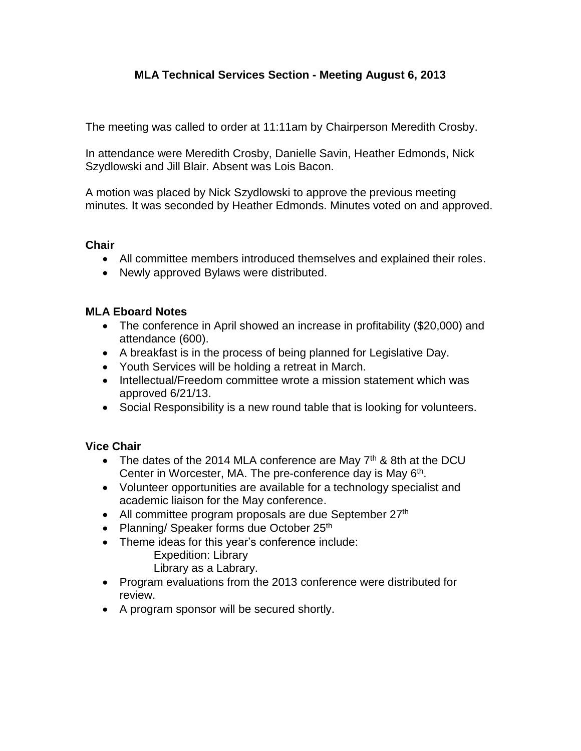# **MLA Technical Services Section - Meeting August 6, 2013**

The meeting was called to order at 11:11am by Chairperson Meredith Crosby.

In attendance were Meredith Crosby, Danielle Savin, Heather Edmonds, Nick Szydlowski and Jill Blair. Absent was Lois Bacon.

A motion was placed by Nick Szydlowski to approve the previous meeting minutes. It was seconded by Heather Edmonds. Minutes voted on and approved.

#### **Chair**

- All committee members introduced themselves and explained their roles.
- Newly approved Bylaws were distributed.

#### **MLA Eboard Notes**

- The conference in April showed an increase in profitability (\$20,000) and attendance (600).
- A breakfast is in the process of being planned for Legislative Day.
- Youth Services will be holding a retreat in March.
- Intellectual/Freedom committee wrote a mission statement which was approved 6/21/13.
- Social Responsibility is a new round table that is looking for volunteers.

## **Vice Chair**

- $\bullet$  The dates of the 2014 MLA conference are May 7<sup>th</sup> & 8th at the DCU Center in Worcester, MA. The pre-conference day is May 6<sup>th</sup>.
- Volunteer opportunities are available for a technology specialist and academic liaison for the May conference.
- All committee program proposals are due September 27<sup>th</sup>
- Planning/ Speaker forms due October 25<sup>th</sup>
- Theme ideas for this year's conference include:

Expedition: Library

Library as a Labrary.

- Program evaluations from the 2013 conference were distributed for review.
- A program sponsor will be secured shortly.